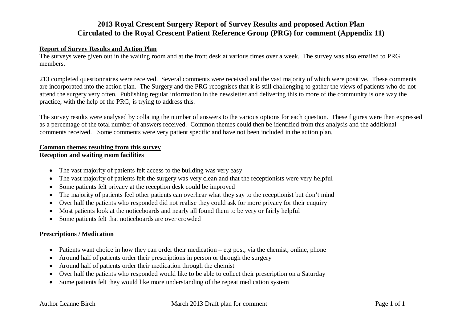# **2013 Royal Crescent Surgery Report of Survey Results and proposed Action Plan Circulated to the Royal Crescent Patient Reference Group (PRG) for comment (Appendix 11)**

### **Report of Survey Results and Action Plan**

The surveys were given out in the waiting room and at the front desk at various times over a week. The survey was also emailed to PRG members.

213 completed questionnaires were received. Several comments were received and the vast majority of which were positive. These comments are incorporated into the action plan. The Surgery and the PRG recognises that it is still challenging to gather the views of patients who do not attend the surgery very often. Publishing regular information in the newsletter and delivering this to more of the community is one way the practice, with the help of the PRG, is trying to address this.

The survey results were analysed by collating the number of answers to the various options for each question. These figures were then expressed as a percentage of the total number of answers received. Common themes could then be identified from this analysis and the additional comments received. Some comments were very patient specific and have not been included in the action plan.

#### **Common themes resulting from this survey**

#### **Reception and waiting room facilities**

- The vast majority of patients felt access to the building was very easy
- The vast majority of patients felt the surgery was very clean and that the receptionists were very helpful
- Some patients felt privacy at the reception desk could be improved
- The majority of patients feel other patients can overhear what they say to the receptionist but don't mind
- Over half the patients who responded did not realise they could ask for more privacy for their enquiry
- Most patients look at the noticeboards and nearly all found them to be very or fairly helpful
- Some patients felt that noticeboards are over crowded

## **Prescriptions / Medication**

- Patients want choice in how they can order their medication  $-e.g.$  post, via the chemist, online, phone
- Around half of patients order their prescriptions in person or through the surgery
- Around half of patients order their medication through the chemist
- Over half the patients who responded would like to be able to collect their prescription on a Saturday
- Some patients felt they would like more understanding of the repeat medication system